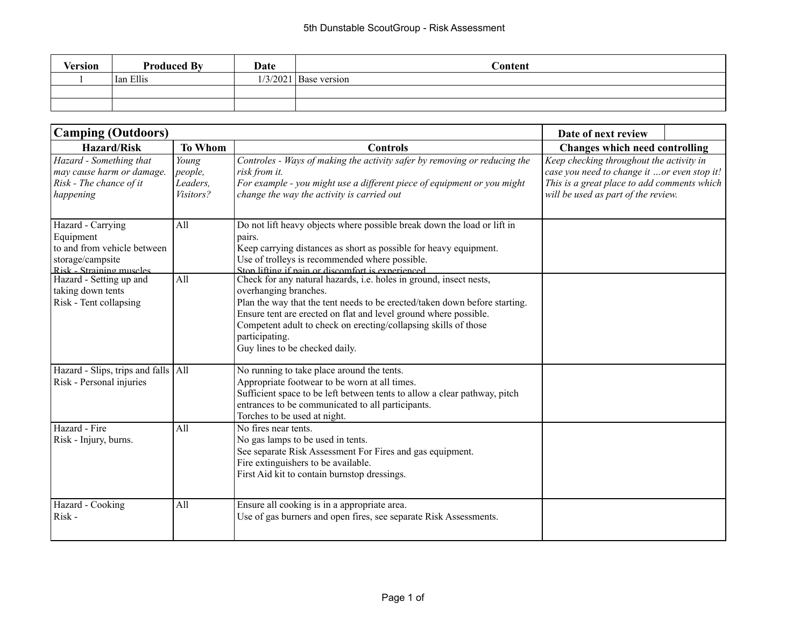| <b>Version</b> | <b>Produced By</b> | Date | Content                 |
|----------------|--------------------|------|-------------------------|
|                | Ian Ellis          |      | $1/3/2021$ Base version |
|                |                    |      |                         |
|                |                    |      |                         |

| <b>Camping (Outdoors)</b>                                                                                                                                                               | Date of next review                       |                                                                                                                                                                                                                                                                                                                                                              |                                                                                                                                                                               |  |
|-----------------------------------------------------------------------------------------------------------------------------------------------------------------------------------------|-------------------------------------------|--------------------------------------------------------------------------------------------------------------------------------------------------------------------------------------------------------------------------------------------------------------------------------------------------------------------------------------------------------------|-------------------------------------------------------------------------------------------------------------------------------------------------------------------------------|--|
| <b>Hazard/Risk</b>                                                                                                                                                                      | <b>To Whom</b>                            | <b>Controls</b>                                                                                                                                                                                                                                                                                                                                              | Changes which need controlling                                                                                                                                                |  |
| Hazard - Something that<br>may cause harm or damage.<br>Risk - The chance of it<br>happening                                                                                            | Young<br>people,<br>Leaders,<br>Visitors? | Controles - Ways of making the activity safer by removing or reducing the<br>risk from it.<br>For example - you might use a different piece of equipment or you might<br>change the way the activity is carried out                                                                                                                                          | Keep checking throughout the activity in<br>case you need to change it or even stop it!<br>This is a great place to add comments which<br>will be used as part of the review. |  |
| Hazard - Carrying<br>Equipment<br>to and from vehicle between<br>storage/campsite<br>Risk - Straining muscles<br>Hazard - Setting up and<br>taking down tents<br>Risk - Tent collapsing | All<br>All                                | Do not lift heavy objects where possible break down the load or lift in<br>pairs.<br>Keep carrying distances as short as possible for heavy equipment.<br>Use of trolleys is recommended where possible.<br>Ston lifting if nain or discomfort is experienced<br>Check for any natural hazards, i.e. holes in ground, insect nests,<br>overhanging branches. |                                                                                                                                                                               |  |
|                                                                                                                                                                                         |                                           | Plan the way that the tent needs to be erected/taken down before starting.<br>Ensure tent are erected on flat and level ground where possible.<br>Competent adult to check on erecting/collapsing skills of those<br>participating.<br>Guy lines to be checked daily.                                                                                        |                                                                                                                                                                               |  |
| Hazard - Slips, trips and falls   All<br>Risk - Personal injuries                                                                                                                       |                                           | No running to take place around the tents.<br>Appropriate footwear to be worn at all times.<br>Sufficient space to be left between tents to allow a clear pathway, pitch<br>entrances to be communicated to all participants.<br>Torches to be used at night.                                                                                                |                                                                                                                                                                               |  |
| Hazard - Fire<br>Risk - Injury, burns.                                                                                                                                                  | All                                       | No fires near tents<br>No gas lamps to be used in tents.<br>See separate Risk Assessment For Fires and gas equipment.<br>Fire extinguishers to be available.<br>First Aid kit to contain burnstop dressings.                                                                                                                                                 |                                                                                                                                                                               |  |
| Hazard - Cooking<br>Risk-                                                                                                                                                               | All                                       | Ensure all cooking is in a appropriate area.<br>Use of gas burners and open fires, see separate Risk Assessments.                                                                                                                                                                                                                                            |                                                                                                                                                                               |  |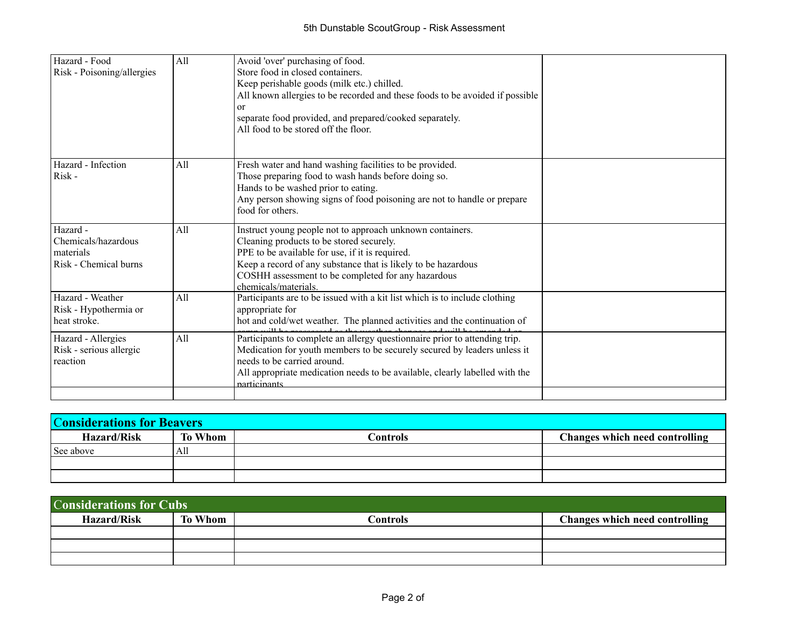| Hazard - Food<br>Risk - Poisoning/allergies                           | All | Avoid 'over' purchasing of food.<br>Store food in closed containers.<br>Keep perishable goods (milk etc.) chilled.<br>All known allergies to be recorded and these foods to be avoided if possible<br>or<br>separate food provided, and prepared/cooked separately.<br>All food to be stored off the floor. |  |
|-----------------------------------------------------------------------|-----|-------------------------------------------------------------------------------------------------------------------------------------------------------------------------------------------------------------------------------------------------------------------------------------------------------------|--|
| Hazard - Infection<br>Risk-                                           | All | Fresh water and hand washing facilities to be provided.<br>Those preparing food to wash hands before doing so.<br>Hands to be washed prior to eating.<br>Any person showing signs of food poisoning are not to handle or prepare<br>food for others.                                                        |  |
| Hazard -<br>Chemicals/hazardous<br>materials<br>Risk - Chemical burns | All | Instruct young people not to approach unknown containers.<br>Cleaning products to be stored securely.<br>PPE to be available for use, if it is required.<br>Keep a record of any substance that is likely to be hazardous<br>COSHH assessment to be completed for any hazardous<br>chemicals/materials.     |  |
| Hazard - Weather<br>Risk - Hypothermia or<br>heat stroke.             | All | Participants are to be issued with a kit list which is to include clothing<br>appropriate for<br>hot and cold/wet weather. The planned activities and the continuation of                                                                                                                                   |  |
| Hazard - Allergies<br>Risk - serious allergic<br>reaction             | All | Participants to complete an allergy questionnaire prior to attending trip.<br>Medication for youth members to be securely secured by leaders unless it<br>needs to be carried around.<br>All appropriate medication needs to be available, clearly labelled with the<br>participants                        |  |

| <b>Considerations for Beavers</b> |         |          |                                       |  |
|-----------------------------------|---------|----------|---------------------------------------|--|
| <b>Hazard/Risk</b>                | To Whom | Controls | <b>Changes which need controlling</b> |  |
| See above                         | All     |          |                                       |  |
|                                   |         |          |                                       |  |
|                                   |         |          |                                       |  |

| <b>Considerations for Cubs</b> |         |          |                                |  |
|--------------------------------|---------|----------|--------------------------------|--|
| <b>Hazard/Risk</b>             | To Whom | Controls | Changes which need controlling |  |
|                                |         |          |                                |  |
|                                |         |          |                                |  |
|                                |         |          |                                |  |